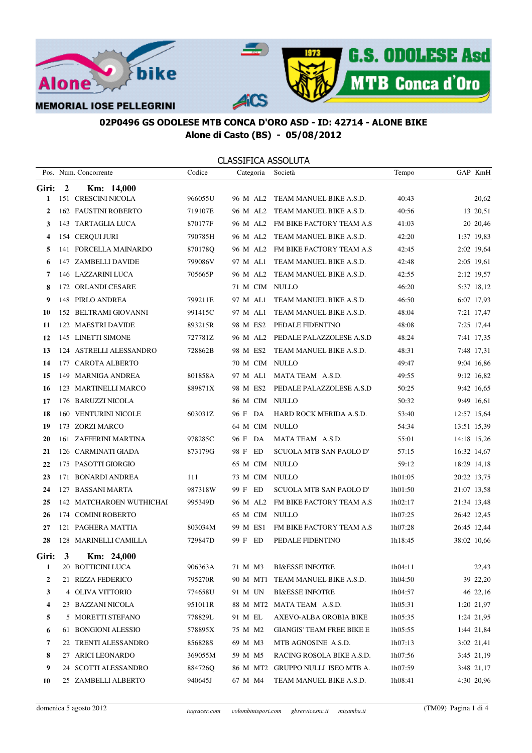

|       |                         | Pos. Num. Concorrente       | Codice  | Categoria      | Società                           | Tempo   | GAP KmH     |
|-------|-------------------------|-----------------------------|---------|----------------|-----------------------------------|---------|-------------|
| Giri: | $\overline{\mathbf{c}}$ | Km: 14,000                  |         |                |                                   |         |             |
| 1     |                         | 151 CRESCINI NICOLA         | 966055U | 96 M AL2       | TEAM MANUEL BIKE A.S.D.           | 40:43   | 20,62       |
| 2     |                         | <b>162 FAUSTINI ROBERTO</b> | 719107E | 96 M AL2       | TEAM MANUEL BIKE A.S.D.           | 40:56   | 13 20,51    |
| 3     |                         | 143 TARTAGLIA LUCA          | 870177F | 96 M AL2       | FM BIKE FACTORY TEAM A.S          | 41:03   | 20 20,46    |
| 4     |                         | 154 CERQUI JURI             | 790785H | 96 M AL2       | TEAM MANUEL BIKE A.S.D.           | 42:20   | 1:37 19,83  |
| 5     |                         | 141 FORCELLA MAINARDO       | 870178Q |                | 96 M AL2 FM BIKE FACTORY TEAM A.S | 42:45   | 2:02 19,64  |
| 6     |                         | 147 ZAMBELLI DAVIDE         | 799086V | 97 M AL1       | TEAM MANUEL BIKE A.S.D.           | 42:48   | 2:05 19,61  |
| 7     |                         | 146 LAZZARINI LUCA          | 705665P | 96 M AL2       | TEAM MANUEL BIKE A.S.D.           | 42:55   | 2:12 19,57  |
| 8     |                         | 172 ORLANDI CESARE          |         | 71 M CIM NULLO |                                   | 46:20   | 5:37 18,12  |
| 9     |                         | 148 PIRLO ANDREA            | 799211E | 97 M AL1       | TEAM MANUEL BIKE A.S.D.           | 46:50   | 6:07 17,93  |
| 10    |                         | 152 BELTRAMI GIOVANNI       | 991415C | 97 M AL1       | TEAM MANUEL BIKE A.S.D.           | 48:04   | 7:21 17,47  |
| 11    |                         | 122 MAESTRI DAVIDE          | 893215R | 98 M ES2       | PEDALE FIDENTINO                  | 48:08   | 7:25 17,44  |
| 12    |                         | 145 LINETTI SIMONE          | 727781Z | 96 M AL2       | PEDALE PALAZZOLESE A.S.D          | 48:24   | 7:41 17,35  |
| 13    |                         | 124 ASTRELLI ALESSANDRO     | 728862B | 98 M ES2       | TEAM MANUEL BIKE A.S.D.           | 48:31   | 7:48 17,31  |
| 14    |                         | 177 CAROTA ALBERTO          |         | 70 M CIM NULLO |                                   | 49:47   | 9:04 16,86  |
| 15    |                         | 149 MARNIGA ANDREA          | 801858A | 97 M AL1       | MATA TEAM A.S.D.                  | 49:55   | 9:12 16,82  |
| 16    |                         | 123 MARTINELLI MARCO        | 889871X | 98 M ES2       | PEDALE PALAZZOLESE A.S.D          | 50:25   | 9:42 16,65  |
| 17    |                         | 176 BARUZZI NICOLA          |         | 86 M CIM NULLO |                                   | 50:32   | 9:49 16,61  |
| 18    |                         | 160 VENTURINI NICOLE        | 603031Z | 96 F DA        | HARD ROCK MERIDA A.S.D.           | 53:40   | 12:57 15,64 |
| 19    |                         | 173 ZORZI MARCO             |         | 64 M CIM NULLO |                                   | 54:34   | 13:51 15,39 |
| 20    |                         | 161 ZAFFERINI MARTINA       | 978285C | 96 F DA        | MATA TEAM A.S.D.                  | 55:01   | 14:18 15,26 |
| 21    |                         | 126 CARMINATI GIADA         | 873179G | 98 F ED        | SCUOLA MTB SAN PAOLO D'           | 57:15   | 16:32 14,67 |
| 22    |                         | 175 PASOTTI GIORGIO         |         | 65 M CIM NULLO |                                   | 59:12   | 18:29 14,18 |
| 23    |                         | 171 BONARDI ANDREA          | 111     | 73 M CIM NULLO |                                   | 1h01:05 | 20:22 13,75 |
| 24    |                         | 127 BASSANI MARTA           | 987318W | 99 F ED        | SCUOLA MTB SAN PAOLO D'           | 1h01:50 | 21:07 13,58 |
| 25    |                         | 142 MATCHAROEN WUTHICHAI    | 995349D | 96 M AL2       | FM BIKE FACTORY TEAM A.S          | 1h02:17 | 21:34 13,48 |
| 26    |                         | 174 COMINI ROBERTO          |         | 65 M CIM NULLO |                                   | 1h07:25 | 26:42 12,45 |
| 27    |                         | 121 PAGHERA MATTIA          | 803034M | 99 M ES1       | FM BIKE FACTORY TEAM A.S          | 1h07:28 | 26:45 12,44 |
| 28    |                         | 128 MARINELLI CAMILLA       | 729847D | 99 F ED        | PEDALE FIDENTINO                  | 1h18:45 | 38:02 10,66 |
| Giri: | $\mathbf{3}$            | Km: 24,000                  |         |                |                                   |         |             |
|       |                         | 20 BOTTICINI LUCA           | 906363A | 71 M M3        | <b>BI&amp;ESSE INFOTRE</b>        | 1h04:11 | 22,43       |
| 2     |                         | 21 RIZZA FEDERICO           | 795270R |                | 90 M MT1 TEAM MANUEL BIKE A.S.D.  | 1h04:50 | 39 22,20    |
| 3     |                         | 4 OLIVA VITTORIO            | 774658U | 91 M UN        | <b>BI&amp;ESSE INFOTRE</b>        | 1h04:57 | 46 22,16    |
| 4     |                         | 23 BAZZANI NICOLA           | 951011R | 88 M MT2       | MATA TEAM A.S.D.                  | 1h05:31 | 1:20 21,97  |
| 5     |                         | 5 MORETTI STEFANO           | 778829L | 91 M EL        | AXEVO-ALBA OROBIA BIKE            | 1h05:35 | 1:24 21,95  |
| 6     |                         | 61 BONGIONI ALESSIO         | 578895X | 75 M M2        | <b>GIANGIS' TEAM FREE BIKE E</b>  | 1h05:55 | 1:44 21,84  |
| 7     |                         | 22 TRENTI ALESSANDRO        | 856828S | 69 M M3        | MTB AGNOSINE A.S.D.               | 1h07:13 | 3:02 21,41  |
| 8     |                         | 27 ARICI LEONARDO           | 369055M | 59 M M5        | RACING ROSOLA BIKE A.S.D.         | 1h07:56 | 3:45 21,19  |
| 9     |                         | 24 SCOTTI ALESSANDRO        | 884726O | 86 M MT2       | GRUPPO NULLI ISEO MTB A.          | 1h07:59 | 3:48 21,17  |
| 10    |                         | 25 ZAMBELLI ALBERTO         | 940645J | 67 M M4        | TEAM MANUEL BIKE A.S.D.           | 1h08:41 | 4:30 20,96  |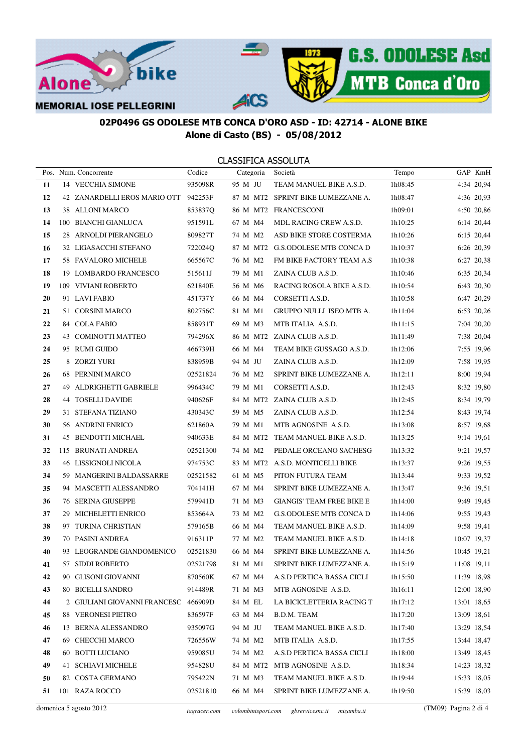

|    | Pos. Num. Concorrente                | Codice   | Categoria | Società                           | Tempo   | GAP KmH     |
|----|--------------------------------------|----------|-----------|-----------------------------------|---------|-------------|
| 11 | 14 VECCHIA SIMONE                    | 935098R  | 95 M JU   | TEAM MANUEL BIKE A.S.D.           | 1h08:45 | 4:34 20,94  |
| 12 | 42 ZANARDELLI EROS MARIO OTT 942253F |          |           | 87 M MT2 SPRINT BIKE LUMEZZANE A. | 1h08:47 | 4:36 20,93  |
| 13 | 38 ALLONI MARCO                      | 853837Q  |           | 86 M MT2 FRANCESCONI              | 1h09:01 | 4:50 20,86  |
| 14 | 100 BIANCHI GIANLUCA                 | 951591L  | 67 M M4   | MDL RACING CREW A.S.D.            | 1h10:25 | 6:14 20,44  |
| 15 | 28 ARNOLDI PIERANGELO                | 809827T  | 74 M M2   | ASD BIKE STORE COSTERMA           | 1h10:26 | 6:15 20,44  |
| 16 | 32 LIGASACCHI STEFANO                | 722024Q  |           | 87 M MT2 G.S.ODOLESE MTB CONCA D  | 1h10:37 | 6:26 20,39  |
| 17 | 58 FAVALORO MICHELE                  | 665567C  | 76 M M2   | FM BIKE FACTORY TEAM A.S          | 1h10:38 | 6:27 20,38  |
| 18 | 19 LOMBARDO FRANCESCO                | 515611J  | 79 M M1   | ZAINA CLUB A.S.D.                 | 1h10:46 | 6:35 20,34  |
| 19 | 109 VIVIANI ROBERTO                  | 621840E  | 56 M M6   | RACING ROSOLA BIKE A.S.D.         | 1h10:54 | 6:43 20,30  |
| 20 | 91 LAVIFABIO                         | 451737 Y | 66 M M4   | CORSETTI A.S.D.                   | 1h10:58 | 6:47 20,29  |
| 21 | 51 CORSINI MARCO                     | 802756C  | 81 M M1   | GRUPPO NULLI ISEO MTB A.          | 1h11:04 | 6:53 20,26  |
| 22 | 84 COLA FABIO                        | 858931T  | 69 M M3   | MTB ITALIA A.S.D.                 | 1h11:15 | 7:04 20,20  |
| 23 | 43 COMINOTTI MATTEO                  | 794296X  |           | 86 M MT2 ZAINA CLUB A.S.D.        | 1h11:49 | 7:38 20,04  |
| 24 | 95 RUMI GUIDO                        | 466739H  | 66 M M4   | TEAM BIKE GUSSAGO A.S.D.          | 1h12:06 | 7:55 19,96  |
| 25 | 8 ZORZI YURI                         | 838959B  | 94 M JU   | ZAINA CLUB A.S.D.                 | 1h12:09 | 7:58 19,95  |
| 26 | 68 PERNINI MARCO                     | 02521824 | 76 M M2   | SPRINT BIKE LUMEZZANE A.          | 1h12:11 | 8:00 19,94  |
| 27 | 49 ALDRIGHETTI GABRIELE              | 996434C  | 79 M M1   | CORSETTI A.S.D.                   | 1h12:43 | 8:32 19,80  |
| 28 | 44 TOSELLI DAVIDE                    | 940626F  |           | 84 M MT2 ZAINA CLUB A.S.D.        | 1h12:45 | 8:34 19,79  |
| 29 | 31 STEFANA TIZIANO                   | 430343C  | 59 M M5   | ZAINA CLUB A.S.D.                 | 1h12:54 | 8:43 19,74  |
| 30 | 56 ANDRINI ENRICO                    | 621860A  | 79 M M1   | MTB AGNOSINE A.S.D.               | 1h13:08 | 8:57 19,68  |
| 31 | 45 BENDOTTI MICHAEL                  | 940633E  |           | 84 M MT2 TEAM MANUEL BIKE A.S.D.  | 1h13:25 | 9:14 19,61  |
| 32 | 115 BRUNATI ANDREA                   | 02521300 | 74 M M2   | PEDALE ORCEANO SACHESG            | 1h13:32 | 9:21 19,57  |
| 33 | <b>46 LISSIGNOLI NICOLA</b>          | 974753C  |           | 83 M MT2 A.S.D. MONTICELLI BIKE   | 1h13:37 | 9:26 19,55  |
| 34 | 59 MANGERINI BALDASSARRE             | 02521582 | 61 M M5   | PITON FUTURA TEAM                 | lh13:44 | 9:33 19,52  |
| 35 | 94 MASCETTI ALESSANDRO               | 704141H  | 67 M M4   | SPRINT BIKE LUMEZZANE A.          | 1h13:47 | 9:36 19,51  |
| 36 | <b>76 SERINA GIUSEPPE</b>            | 579941D  | 71 M M3   | <b>GIANGIS' TEAM FREE BIKE E</b>  | 1h14:00 | 9:49 19,45  |
| 37 | 29 MICHELETTI ENRICO                 | 853664A  | 73 M M2   | <b>G.S.ODOLESE MTB CONCA D</b>    | 1h14:06 | 9:55 19,43  |
| 38 | 97 TURINA CHRISTIAN                  | 579165B  | 66 M M4   | TEAM MANUEL BIKE A.S.D.           | 1h14:09 | 9:58 19,41  |
| 39 | 70 PASINI ANDREA                     | 916311P  | 77 M M2   | TEAM MANUEL BIKE A.S.D.           | 1h14:18 | 10:07 19,37 |
| 40 | 93 LEOGRANDE GIANDOMENICO            | 02521830 | 66 M M4   | SPRINT BIKE LUMEZZANE A.          | 1h14:56 | 10:45 19,21 |
| 41 | 57 SIDDI ROBERTO                     | 02521798 | 81 M M1   | SPRINT BIKE LUMEZZANE A.          | 1h15:19 | 11:08 19,11 |
| 42 | 90 GLISONI GIOVANNI                  | 870560K  | 67 M M4   | A.S.D PERTICA BASSA CICLI         | 1h15:50 | 11:39 18,98 |
| 43 | 80 BICELLI SANDRO                    | 914489R  | 71 M M3   | MTB AGNOSINE A.S.D.               | 1h16:11 | 12:00 18,90 |
| 44 | 2 GIULIANI GIOVANNI FRANCESC 466909D |          | 84 M EL   | LA BICICLETTERIA RACING T         | 1h17:12 | 13:01 18,65 |
| 45 | 88 VERONESI PIETRO                   | 836597F  | 63 M M4   | B.D.M. TEAM                       | 1h17:20 | 13:09 18,61 |
| 46 | 13 BERNA ALESSANDRO                  | 935097G  | 94 M JU   | TEAM MANUEL BIKE A.S.D.           | 1h17:40 | 13:29 18,54 |
| 47 | 69 CHECCHI MARCO                     | 726556W  | 74 M M2   | MTB ITALIA A.S.D.                 | 1h17:55 | 13:44 18,47 |
| 48 | 60 BOTTI LUCIANO                     | 959085U  | 74 M M2   | A.S.D PERTICA BASSA CICLI         | 1h18:00 | 13:49 18,45 |
| 49 | 41 SCHIAVI MICHELE                   | 954828U  | 84 M MT2  | MTB AGNOSINE A.S.D.               | 1h18:34 | 14:23 18,32 |
| 50 | 82 COSTA GERMANO                     | 795422N  | 71 M M3   | TEAM MANUEL BIKE A.S.D.           | 1h19:44 | 15:33 18,05 |
| 51 | 101 RAZA ROCCO                       | 02521810 | 66 M M4   | SPRINT BIKE LUMEZZANE A.          | 1h19:50 | 15:39 18,03 |
|    |                                      |          |           |                                   |         |             |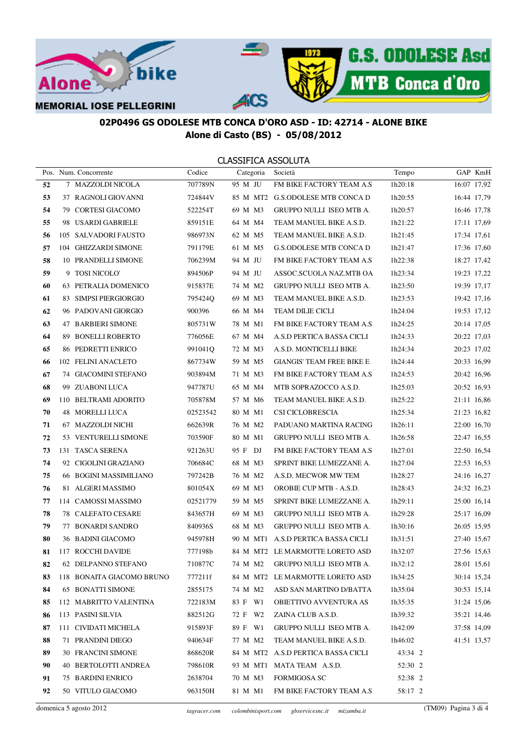

|    | Pos. Num. Concorrente     | Codice   | Categoria | Società                            | Tempo   | GAP KmH     |
|----|---------------------------|----------|-----------|------------------------------------|---------|-------------|
| 52 | 7 MAZZOLDI NICOLA         | 707789N  | 95 M JU   | FM BIKE FACTORY TEAM A.S           | 1h20:18 | 16:07 17,92 |
| 53 | 37 RAGNOLI GIOVANNI       | 724844V  |           | 85 M MT2 G.S.ODOLESE MTB CONCA D   | 1h20:55 | 16:44 17,79 |
| 54 | 79 CORTESI GIACOMO        | 522254T  | 69 M M3   | <b>GRUPPO NULLI ISEO MTB A.</b>    | 1h20:57 | 16:46 17,78 |
| 55 | 98 USARDI GABRIELE        | 859151E  | 64 M M4   | TEAM MANUEL BIKE A.S.D.            | 1h21:22 | 17:11 17.69 |
| 56 | 105 SALVADORI FAUSTO      | 986973N  | 62 M M5   | TEAM MANUEL BIKE A.S.D.            | 1h21:45 | 17:34 17,61 |
| 57 | 104 GHIZZARDI SIMONE      | 791179E  | 61 M M5   | G.S.ODOLESE MTB CONCA D            | 1h21:47 | 17:36 17,60 |
| 58 | 10 PRANDELLI SIMONE       | 706239M  | 94 M JU   | FM BIKE FACTORY TEAM A.S           | 1h22:38 | 18:27 17,42 |
| 59 | 9 TOSI NICOLO'            | 894506P  | 94 M JU   | ASSOC.SCUOLA NAZ.MTB OA            | 1h23:34 | 19:23 17,22 |
| 60 | 63 PETRALIA DOMENICO      | 915837E  | 74 M M2   | GRUPPO NULLI ISEO MTB A.           | 1h23:50 | 19:39 17,17 |
| 61 | 83 SIMPSI PIERGIORGIO     | 795424Q  | 69 M M3   | TEAM MANUEL BIKE A.S.D.            | 1h23:53 | 19:42 17,16 |
| 62 | 96 PADOVANI GIORGIO       | 900396   | 66 M M4   | <b>TEAM DILIE CICLI</b>            | 1h24:04 | 19:53 17,12 |
| 63 | 47 BARBIERI SIMONE        | 805731W  | 78 M M1   | FM BIKE FACTORY TEAM A.S           | 1h24:25 | 20:14 17,05 |
| 64 | 89 BONELLI ROBERTO        | 776056E  | 67 M M4   | A.S.D PERTICA BASSA CICLI          | 1h24:33 | 20:22 17,03 |
| 65 | 86 PEDRETTI ENRICO        | 991041Q  | 72 M M3   | A.S.D. MONTICELLI BIKE             | 1h24:34 | 20:23 17,02 |
| 66 | 102 FELINI ANACLETO       | 867734W  | 59 M M5   | <b>GIANGIS' TEAM FREE BIKE E</b>   | 1h24:44 | 20:33 16,99 |
| 67 | 74 GIACOMINI STEFANO      | 903894M  | 71 M M3   | FM BIKE FACTORY TEAM A.S           | 1h24:53 | 20:42 16,96 |
| 68 | 99 ZUABONI LUCA           | 947787U  | 65 M M4   | MTB SOPRAZOCCO A.S.D.              | 1h25:03 | 20:52 16,93 |
| 69 | 110 BELTRAMI ADORITO      | 705878M  | 57 M M6   | TEAM MANUEL BIKE A.S.D.            | 1h25:22 | 21:11 16,86 |
| 70 | 48 MORELLI LUCA           | 02523542 | 80 M M1   | CSI CICLOBRESCIA                   | 1h25:34 | 21:23 16,82 |
| 71 | 67 MAZZOLDI NICHI         | 662639R  | 76 M M2   | PADUANO MARTINA RACING             | 1h26:11 | 22:00 16,70 |
| 72 | 53 VENTURELLI SIMONE      | 703590F  | 80 M M1   | GRUPPO NULLI ISEO MTB A.           | 1h26:58 | 22:47 16,55 |
| 73 | 131 TASCA SERENA          | 921263U  | 95 F DJ   | FM BIKE FACTORY TEAM A.S           | 1h27:01 | 22:50 16,54 |
| 74 | 92 CIGOLINI GRAZIANO      | 706684C  | 68 M M3   | SPRINT BIKE LUMEZZANE A.           | 1h27:04 | 22:53 16,53 |
| 75 | 66 BOGINI MASSIMILIANO    | 797242B  | 76 M M2   | A.S.D. MECWOR MW TEM               | 1h28:27 | 24:16 16,27 |
| 76 | 81 ALGERI MASSIMO         | 801054X  | 69 M M3   | OROBIE CUP MTB - A.S.D.            | 1h28:43 | 24:32 16,23 |
| 77 | 114 CAMOSSI MASSIMO       | 02521779 | 59 M M5   | SPRINT BIKE LUMEZZANE A.           | 1h29:11 | 25:00 16,14 |
| 78 | 78 CALEFATO CESARE        | 843657H  | 69 M M3   | GRUPPO NULLI ISEO MTB A.           | 1h29:28 | 25:17 16,09 |
| 79 | 77 BONARDI SANDRO         | 840936S  | 68 M M3   | GRUPPO NULLI ISEO MTB A.           | 1h30:16 | 26:05 15,95 |
| 80 | 36 BADINI GIACOMO         | 945978H  |           | 90 M MT1 A.S.D PERTICA BASSA CICLI | 1h31:51 | 27:40 15,67 |
| 81 | 117 ROCCHI DAVIDE         | 777198b  |           | 84 M MT2 LE MARMOTTE LORETO ASD    | 1h32:07 | 27:56 15,63 |
| 82 | 62 DELPANNO STEFANO       | 710877C  |           | 74 M M2 GRUPPO NULLI ISEO MTB A.   | 1h32:12 | 28:01 15,61 |
| 83 | 118 BONAITA GIACOMO BRUNO | 777211f  |           | 84 M MT2 LE MARMOTTE LORETO ASD    | 1h34:25 | 30:14 15,24 |
| 84 | <b>65 BONATTI SIMONE</b>  | 2855175  | 74 M M2   | ASD SAN MARTINO D/BATTA            | 1h35:04 | 30:53 15,14 |
| 85 | 112 MABRITTO VALENTINA    | 722183M  | 83 F W1   | <b>OBIETTIVO AVVENTURA AS</b>      | 1h35:35 | 31:24 15,06 |
| 86 | 113 PASINI SILVIA         | 882512G  | 72 F W2   | ZAINA CLUB A.S.D.                  | 1h39:32 | 35:21 14,46 |
| 87 | 111 CIVIDATI MICHELA      | 915893F  | 89 F W1   | GRUPPO NULLI ISEO MTB A.           | 1h42:09 | 37:58 14,09 |
| 88 | 71 PRANDINI DIEGO         | 940634F  | 77 M M2   | TEAM MANUEL BIKE A.S.D.            | 1h46:02 | 41:51 13,57 |
| 89 | 30 FRANCINI SIMONE        | 868620R  |           | 84 M MT2 A.S.D PERTICA BASSA CICLI | 43:34 2 |             |
| 90 | 40 BERTOLOTTI ANDREA      | 798610R  |           | 93 M MT1 MATA TEAM A.S.D.          | 52:30 2 |             |
| 91 | <b>75 BARDINI ENRICO</b>  | 2638704  | 70 M M3   | <b>FORMIGOSA SC</b>                | 52:38 2 |             |
| 92 | 50 VITULO GIACOMO         | 963150H  | 81 M M1   | FM BIKE FACTORY TEAM A.S           | 58:17 2 |             |
|    |                           |          |           |                                    |         |             |